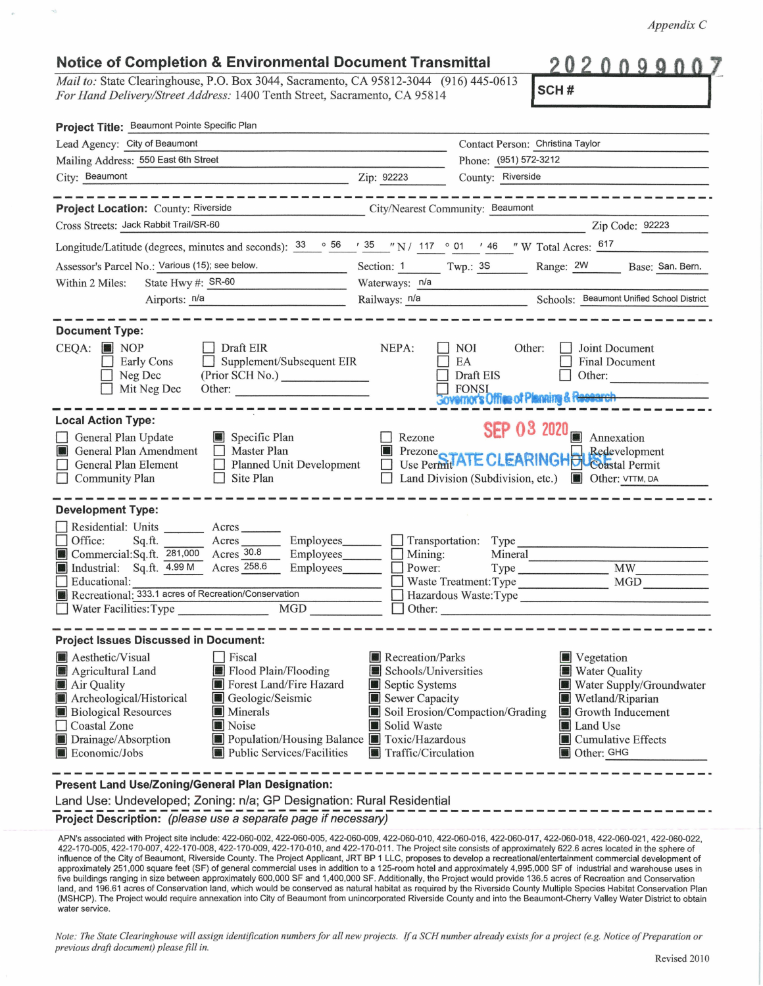*Appendix* C

## **Notice of Completion** & **Environmental Document Transmittal**

*Mail to:* State Clearinghouse, P.O. Box 3044, Sacramento, CA 95812-3044 (916) 445-0613 *For Hand Delivery/Street Address:* 1400 Tenth Street, Sacramento, CA 95814

 $0<sub>0</sub>$ 

| ı.<br>٠<br>. . |  |
|----------------|--|
|----------------|--|

| Project Title: Beaumont Pointe Specific Plan                                                                                                                                                                                                                                                                                                                                                                     |                                                                                                                    |                                                                                                                                                                                     |
|------------------------------------------------------------------------------------------------------------------------------------------------------------------------------------------------------------------------------------------------------------------------------------------------------------------------------------------------------------------------------------------------------------------|--------------------------------------------------------------------------------------------------------------------|-------------------------------------------------------------------------------------------------------------------------------------------------------------------------------------|
| Lead Agency: City of Beaumont                                                                                                                                                                                                                                                                                                                                                                                    |                                                                                                                    | Contact Person: Christina Taylor                                                                                                                                                    |
| Mailing Address: 550 East 6th Street                                                                                                                                                                                                                                                                                                                                                                             |                                                                                                                    | Phone: (951) 572-3212                                                                                                                                                               |
| City: Beaumont                                                                                                                                                                                                                                                                                                                                                                                                   | Zip: 92223                                                                                                         | County: Riverside                                                                                                                                                                   |
| the first property and the control of the control of the control of the control of the control of                                                                                                                                                                                                                                                                                                                |                                                                                                                    |                                                                                                                                                                                     |
| Project Location: County: Riverside                                                                                                                                                                                                                                                                                                                                                                              |                                                                                                                    | City/Nearest Community: Beaumont                                                                                                                                                    |
| Cross Streets: Jack Rabbit Trail/SR-60                                                                                                                                                                                                                                                                                                                                                                           |                                                                                                                    | Zip Code: 92223                                                                                                                                                                     |
| Longitude/Latitude (degrees, minutes and seconds): $\frac{33}{56}$ $\frac{66}{56}$ $\frac{135}{36}$ $\frac{135}{36}$ N / 117 $\circ$ 01 $\cdot$ 46 $\cdot$ W Total Acres: $\frac{617}{36}$                                                                                                                                                                                                                       |                                                                                                                    |                                                                                                                                                                                     |
| Assessor's Parcel No.: Various (15); see below.<br><u> 1989 - Johann Barnett, fransk politiker</u>                                                                                                                                                                                                                                                                                                               |                                                                                                                    | Section: 1 Twp.: 3S Range: 2W Base: San. Bern.                                                                                                                                      |
| State Hwy #: SR-60<br>Within 2 Miles:                                                                                                                                                                                                                                                                                                                                                                            | Waterways: n/a                                                                                                     |                                                                                                                                                                                     |
| Airports: n/a                                                                                                                                                                                                                                                                                                                                                                                                    |                                                                                                                    | Railways: n/a Schools: Beaumont Unified School District                                                                                                                             |
| <b>Document Type:</b><br>$CEQA:$ MOP<br>$\Box$ Draft EIR<br>Supplement/Subsequent EIR<br>Early Cons<br>(Prior SCH No.)<br>Neg Dec<br>Mit Neg Dec<br>Other:                                                                                                                                                                                                                                                       | NEPA:                                                                                                              | NOI<br>Other:<br>Joint Document<br>EA<br>Final Document<br>Draft EIS<br>Other:<br><b>Sovemor's Office of Planning &amp; Research</b>                                                |
| <b>Local Action Type:</b><br>General Plan Update<br>Specific Plan<br>General Plan Amendment<br>Master Plan<br>職員<br>General Plan Element<br>Planned Unit Development<br><b>Community Plan</b><br>Site Plan<br>$\Box$                                                                                                                                                                                             | Rezone                                                                                                             | SEP 03 2020 $\blacksquare$ Annexation<br>Redevelopment<br>Prezone CLEARINGHOL Redevelopment<br>Land Division (Subdivision, etc.) <b>CHECC</b> Other: VTTM, DA                       |
| <b>Development Type:</b><br>Residential: Units ________ Acres _______<br>Office:<br>Sq.ft.<br>Acres<br>Employees_______<br>Commercial:Sq.ft. 281,000 Acres 30.8<br>Employees_______<br>Industrial: Sq.ft. 4.99 M Acres 258.6<br>Employees________<br>Educational:<br>Recreational: 333.1 acres of Recreation/Conservation<br>Water Facilities: Type<br>MGD                                                       | Mining:                                                                                                            | Transportation: Type<br>Mineral<br><b>MW</b><br>MGD<br>Waste Treatment: Type<br>Hazardous Waste:Type<br>Other:                                                                      |
| <b>Project Issues Discussed in Document:</b><br>Aesthetic/Visual<br>Fiscal<br>Flood Plain/Flooding<br>Agricultural Land<br>Forest Land/Fire Hazard<br>Air Quality<br>Archeological/Historical<br>Geologic/Seismic<br><b>Biological Resources</b><br>Minerals<br>Noise<br><b>Coastal Zone</b><br>Drainage/Absorption<br>Population/Housing Balance Toxic/Hazardous<br>Public Services/Facilities<br>Economic/Jobs | Recreation/Parks<br>Schools/Universities<br>Septic Systems<br>Sewer Capacity<br>Solid Waste<br>Traffic/Circulation | Vegetation<br>Water Quality<br>Water Supply/Groundwater<br>Wetland/Riparian<br>Soil Erosion/Compaction/Grading<br>Growth Inducement<br>Land Use<br>Cumulative Effects<br>Other: GHG |
| Present Land Use/Zoning/General Plan Designation:                                                                                                                                                                                                                                                                                                                                                                |                                                                                                                    |                                                                                                                                                                                     |

Land Use: Undeveloped; Zoning: n/a; GP Designation: Rural Residential -------------------------------------------------------------· **Project Description:** (please use a separate page if necessary)

APN's associated with Project site include: 422-060-002, 422-060-005, 422-060-009, 422-060-010, 422-060-016, 422-060-017, 422-060-018, 422-060-021 , 422-060-022, 422-170-005, 422-170-007, 422-1 70-008, 422-170-009, 422-170-010, and 422-170-011 . The Project site consists of approximately 622.6 acres located in the sphere of influence of the City of Beaumont, Riverside County. The Project Applicant, JRT BP 1 LLC, proposes to develop a recreational/entertainment commercial development of approximately 251,000 square feet (SF) of general commercial uses in addition to a 125-room hotel and approximately 4,995,000 SF of industrial and warehouse uses in five buildings ranging in size between approximately 600,000 SF and 1,400,000 SF. Additionally, the Project would provide 136.5 acres of Recreation and Conservation land, and 196.61 acres of Conservation land, which would be conserved as natural habitat as required by the Riverside County Multiple Species Habitat Conservation Plan (MSHCP). The Project would require annexation into City of Beaumont from unincorporated Riverside County and into the Beaumont-Cherry Valley Water District to obtain water service.

*Note: The State Clearinghouse will assign identification numbers for all new projects. If a SCH number already exists for a project (e.g. Notice of Preparation or previous draft document) please.fill in.*